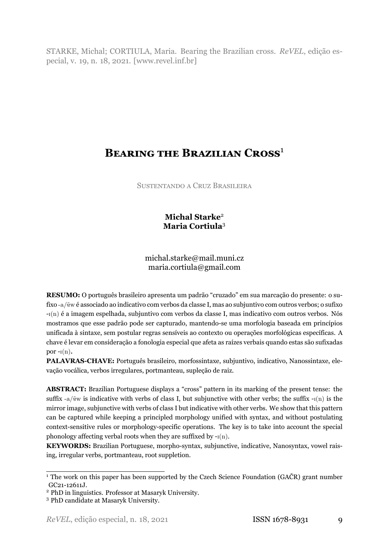STARKE, Michal; CORTIULA, Maria. Bearing the Brazilian cross. *ReVEL*, edição especial, v. 19, n. 18, 2021. [www.revel.inf.br]

# **BEARING THE BRAZILIAN CROSS**<sup>1</sup>

SUSTENTANDO A CRUZ BRASILEIRA

**Michal Starke**2 **Maria Cortiula**3

michal.starke@mail.muni.cz maria.cortiula@gmail.com

**RESUMO:** O português brasileiro apresenta um padrão "cruzado" em sua marcação do presente: o sufixo -a/˜5w é associado ao indicativo com verbos da classe I, mas ao subjuntivo com outros verbos; o sufixo -I(n) é a imagem espelhada, subjuntivo com verbos da classe I, mas indicativo com outros verbos. Nós mostramos que esse padrão pode ser capturado, mantendo-se uma morfologia baseada em princípios unificada à sintaxe, sem postular regras sensíveis ao contexto ou operações morfológicas específicas. A chave é levar em consideração a fonologia especial que afeta as raízes verbais quando estas são sufixadas por  $-i(n)$ .

**PALAVRAS-CHAVE:** Português brasileiro, morfossintaxe, subjuntivo, indicativo, Nanossintaxe, elevação vocálica, verbos irregulares, portmanteau, supleção de raiz.

**ABSTRACT:** Brazilian Portuguese displays a "cross" pattern in its marking of the present tense: the suffix  $-a/\tilde{v}$  is indicative with verbs of class I, but subjunctive with other verbs; the suffix  $-i(n)$  is the mirror image, subjunctive with verbs of class I but indicative with other verbs. We show that this pattern can be captured while keeping a principled morphology unified with syntax, and without postulating context-sensitive rules or morphology-specific operations. The key is to take into account the special phonology affecting verbal roots when they are suffixed by  $-i(n)$ .

**KEYWORDS:** Brazilian Portuguese, morpho-syntax, subjunctive, indicative, Nanosyntax, vowel raising, irregular verbs, portmanteau, root suppletion.

<sup>&</sup>lt;sup>1</sup> The work on this paper has been supported by the Czech Science Foundation (GAČR) grant number GC21-12611J.

<sup>2</sup> PhD in linguistics. Professor at Masaryk University.

<sup>3</sup> PhD candidate at Masaryk University.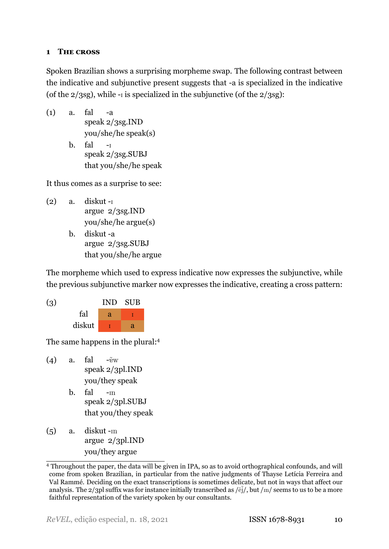#### **1 THE CROSS**

Spoken Brazilian shows a surprising morpheme swap. The following contrast between the indicative and subjunctive present suggests that -a is specialized in the indicative (of the  $2/3sg$ ), while -i is specialized in the subjunctive (of the  $2/3sg$ ):

- <span id="page-1-0"></span>(1) a. fal speak 2/3sg.IND -a you/she/he speak(s)
	- b. fal speak 2/3sg.SUBJ  $-I$ that you/she/he speak

<span id="page-1-1"></span>It thus comes as a surprise to see:

- (2) a. diskut -I argue 2/3sg.IND you/she/he argue(s)
	- b. diskut -a argue 2/3sg.SUBJ that you/she/he argue

The morpheme which used to express indicative now expresses the subjunctive, while the previous subjunctive marker now expresses the indicative, creating a cross pattern:



The same happens in the plural:<sup>4</sup>

- (4) a. fal speak 2/3pl.IND  $-\tilde{R}W$ you/they speak
	- b. fal speak 2/3pl.SUBJ -In that you/they speak
- $(5)$  a. diskut -m argue 2/3pl.IND you/they argue

<sup>4</sup> Throughout the paper, the data will be given in IPA, so as to avoid orthographical confounds, and will come from spoken Brazilian, in particular from the native judgments of Thayse Letícia Ferreira and Val Rammé. Deciding on the exact transcriptions is sometimes delicate, but not in ways that affect our analysis. The 2/3pl suffix was for instance initially transcribed as  $/\tilde{ej}$ , but  $/m$  seems to us to be a more faithful representation of the variety spoken by our consultants.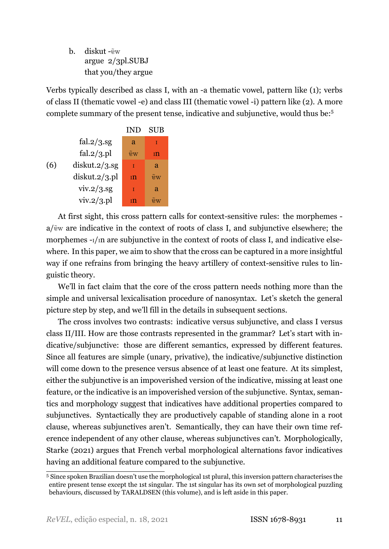b. diskut - $\tilde{\mathrm{e}}$ w argue 2/3pl.SUBJ that you/they argue

Verbs typically described as class I, with an -a thematic vowel, pattern like [\(1\)](#page-1-0); verbs of class II (thematic vowel -e) and class III (thematic vowel -i) pattern like [\(2\).](#page-1-1) A more complete summary of the present tense, indicative and subjunctive, would thus be:5



At first sight, this cross pattern calls for context-sensitive rules: the morphemes  $a/\tilde{v}$ <sub>w</sub> are indicative in the context of roots of class I, and subjunctive elsewhere; the morphemes  $-i$  m are subjunctive in the context of roots of class I, and indicative elsewhere. In this paper, we aim to show that the cross can be captured in a more insightful way if one refrains from bringing the heavy artillery of context-sensitive rules to linguistic theory.

We'll in fact claim that the core of the cross pattern needs nothing more than the simple and universal lexicalisation procedure of nanosyntax. Let's sketch the general picture step by step, and we'll fill in the details in subsequent sections.

The cross involves two contrasts: indicative versus subjunctive, and class I versus class II/III. How are those contrasts represented in the grammar? Let's start with indicative/subjunctive: those are different semantics, expressed by different features. Since all features are simple (unary, privative), the indicative/subjunctive distinction will come down to the presence versus absence of at least one feature. At its simplest, either the subjunctive is an impoverished version of the indicative, missing at least one feature, or the indicative is an impoverished version of the subjunctive. Syntax, semantics and morphology suggest that indicatives have additional properties compared to subjunctives. Syntactically they are productively capable of standing alone in a root clause, whereas subjunctives aren't. Semantically, they can have their own time reference independent of any other clause, whereas subjunctives can't. Morphologically, [Starke](#page-26-0) [\(2021\)](#page-26-0) argues that French verbal morphological alternations favor indicatives having an additional feature compared to the subjunctive.

 $\frac{1}{5}$  Since spoken Brazilian doesn't use the morphological 1st plural, this inversion pattern characterises the entire present tense except the 1st singular. The 1st singular has its own set of morphological puzzling behaviours, discussed by [TARALDSEN](#page-26-1) (this volume), and is left aside in this paper.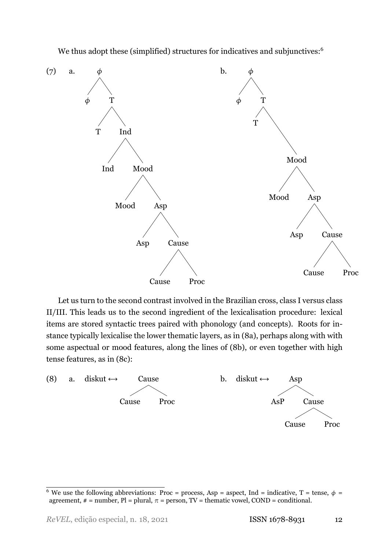We thus adopt these (simplified) structures for indicatives and subjunctives:<sup>6</sup>

<span id="page-3-2"></span>

Let us turn to the second contrast involved in the Brazilian cross, class I versus class II/III. This leads us to the second ingredient of the lexicalisation procedure: lexical items are stored syntactic trees paired with phonology (and concepts). Roots for instance typically lexicalise the lower thematic layers, as in [\(8a\)](#page-3-0), perhaps along with with some aspectual or mood features, along the lines of [\(8b\),](#page-3-1) or even together with high tense features, as in (8c):

<span id="page-3-1"></span><span id="page-3-0"></span>

<sup>&</sup>lt;sup>6</sup> We use the following abbreviations: Proc = process, Asp = aspect, Ind = indicative, T = tense,  $\phi$  = agreement,  $# =$  number,  $Pl =$  plural,  $π =$  person,  $TV =$  thematic vowel,  $COND =$  conditional.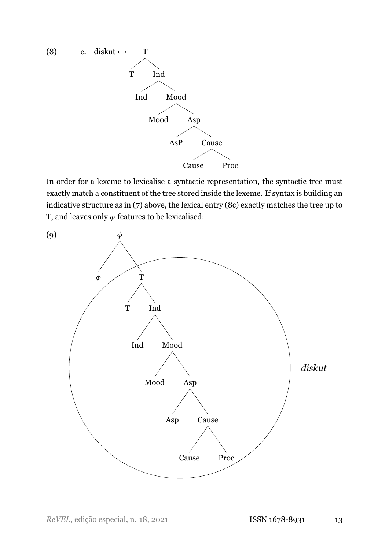

In order for a lexeme to lexicalise a syntactic representation, the syntactic tree must exactly match a constituent of the tree stored inside the lexeme. If syntax is building an indicative structure as in [\(7\)](#page-3-2) above, the lexical entry (8c) exactly matches the tree up to T, and leaves only  $\phi$  features to be lexicalised:

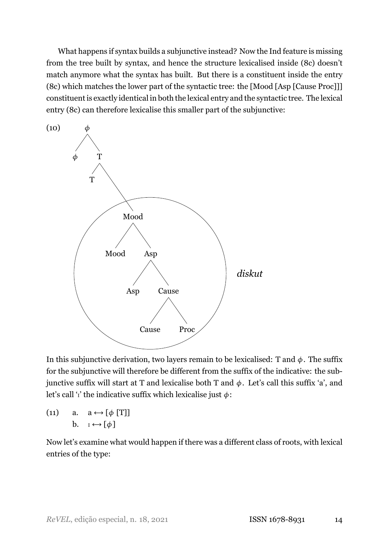What happens if syntax builds a subjunctive instead? Now the Ind feature is missing from the tree built by syntax, and hence the structure lexicalised inside (8c) doesn't match anymore what the syntax has built. But there is a constituent inside the entry (8c) which matches the lower part of the syntactic tree: the [Mood [Asp [Cause Proc]]] constituent is exactly identical in both the lexical entry and the syntactic tree. The lexical entry (8c) can therefore lexicalise this smaller part of the subjunctive:



In this subjunctive derivation, two layers remain to be lexicalised: T and *ϕ*. The suffix for the subjunctive will therefore be different from the suffix of the indicative: the subjunctive suffix will start at T and lexicalise both T and *ϕ*. Let's call this suffix 'a', and let's call '<sup>1</sup>' the indicative suffix which lexicalise just *φ*:

(11) a. 
$$
a \leftrightarrow [\phi [T]]
$$
  
b.  $I \leftrightarrow [\phi]$ 

<span id="page-5-0"></span>Now let's examine what would happen if there was a different class of roots, with lexical entries of the type: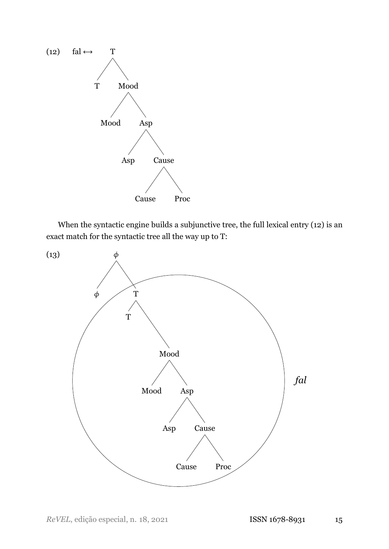

When the syntactic engine builds a subjunctive tree, the full lexical entry [\(12\)](#page-5-0) is an exact match for the syntactic tree all the way up to T:

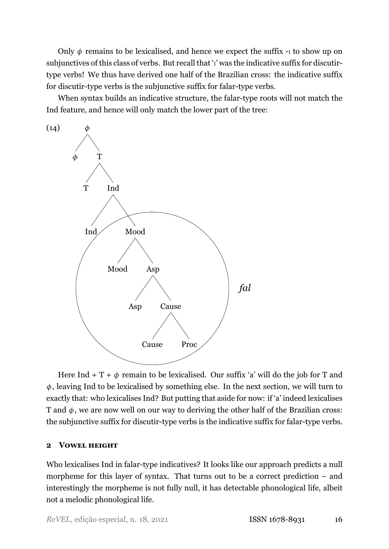Only  $\phi$  remains to be lexicalised, and hence we expect the suffix  $-i$  to show up on subjunctives of this class of verbs. But recall that 'i' was the indicative suffix for discutirtype verbs! We thus have derived one half of the Brazilian cross: the indicative suffix for discutir-type verbs is the subjunctive suffix for falar-type verbs.

When syntax builds an indicative structure, the falar-type roots will not match the Ind feature, and hence will only match the lower part of the tree:



Here Ind  $+ T + \phi$  remain to be lexicalised. Our suffix 'a' will do the job for T and *ϕ*, leaving Ind to be lexicalised by something else. In the next section, we will turn to exactly that: who lexicalises Ind? But putting that aside for now: if 'a' indeed lexicalises T and *ϕ*, we are now well on our way to deriving the other half of the Brazilian cross: the subjunctive suffix for discutir-type verbs is the indicative suffix for falar-type verbs.

#### **2 VOWEL HEIGHT**

Who lexicalises Ind in falar-type indicatives? It looks like our approach predicts a null morpheme for this layer of syntax. That turns out to be a correct prediction – and interestingly the morpheme is not fully null, it has detectable phonological life, albeit not a melodic phonological life.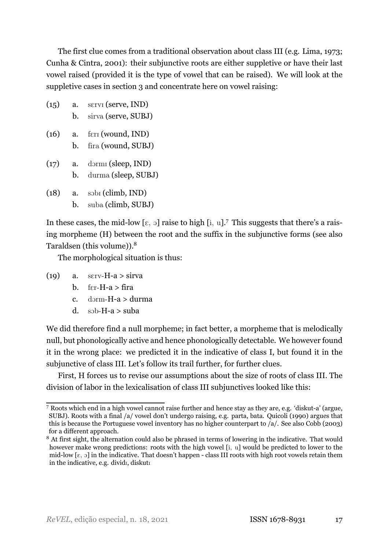The first clue comes from a traditional observation about class III (e.g. Lima, [1973;](#page-26-2) Cunha & Cintra, [2001\)](#page-26-3): their subjunctive roots are either suppletive or have their last vowel raised (provided it is the type of vowel that can be raised). We will look at the suppletive cases in section 3 and concentrate here on vowel raising:

|  | $(15)$ a. servi (serve, IND) |  |
|--|------------------------------|--|
|  | b. sirva (serve, SUBJ)       |  |

|  | $(16)$ a. ferr (wound, IND) |  |  |
|--|-----------------------------|--|--|
|  | b. fira (wound, SUBJ)       |  |  |

- $(17)$  a. dormi (sleep, IND) b. durma (sleep, SUBJ)
- $(18)$  a. sob<sub>I</sub> (climb, IND) b. suba (climb, SUBJ)

In these cases, the mid-low [ $\varepsilon$ ,  $\sigma$ ] raise to high [i, u].<sup>7</sup> This suggests that there's a raising morpheme (H) between the root and the suffix in the subjunctive forms (see also Taraldsen (this volume)).8

The morphological situation is thus:

- (19) a.  $\text{serv-H-a} > \text{sirva}$ 
	- b.  $fer-H-a > fira$
	- c.  $d$ orm-H-a > durma
	- d.  $s$ ob-H-a > suba

We did therefore find a null morpheme; in fact better, a morpheme that is melodically null, but phonologically active and hence phonologically detectable. We however found it in the wrong place: we predicted it in the indicative of class I, but found it in the subjunctive of class III. Let's follow its trail further, for further clues.

First, H forces us to revise our assumptions about the size of roots of class III. The division of labor in the lexicalisation of class III subjunctives looked like this:

<span id="page-8-0"></span><sup>7</sup> Roots which end in a high vowel cannot raise further and hence stay as they are, e.g. 'diskut-a' (argue, SUBJ). Roots with a final /a/ vowel don't undergo raising, e.g. parta, bata. [Quicoli](#page-26-4) ([1990\)](#page-26-4) argues that this is because the Portuguese vowel inventory has no higher counterpart to /a/. See also [Cobb](#page-26-5) [\(2003\)](#page-26-5) for a different approach.

<sup>&</sup>lt;sup>8</sup> At first sight, the alternation could also be phrased in terms of lowering in the indicative. That would however make wrong predictions: roots with the high vowel [i, u] would be predicted to lower to the mid-low  $[\varepsilon, \varepsilon]$  in the indicative. That doesn't happen - class III roots with high root vowels retain them in the indicative, e.g. dividi, diskuti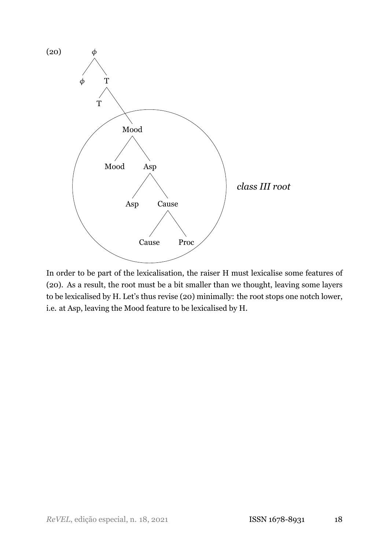

In order to be part of the lexicalisation, the raiser H must lexicalise some features of [\(20\).](#page-8-0) As a result, the root must be a bit smaller than we thought, leaving some layers to be lexicalised by H. Let's thus revise [\(20\)](#page-8-0) minimally: the root stops one notch lower, i.e. at Asp, leaving the Mood feature to be lexicalised by H.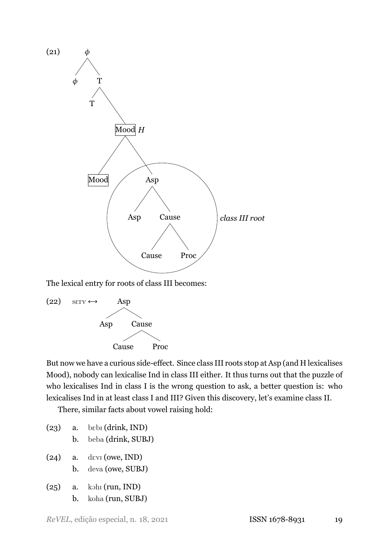

The lexical entry for roots of class III becomes:



But now we have a curious side-effect. Since class III roots stop at Asp (and H lexicalises Mood), nobody can lexicalise Ind in class III either. It thus turns out that the puzzle of who lexicalises Ind in class I is the wrong question to ask, a better question is: who lexicalises Ind in at least class I and III? Given this discovery, let's examine class II.

There, similar facts about vowel raising hold:

- $(23)$  a. beb<sub>I</sub> (drink, IND) b. beba (drink, SUBJ)
- (24) a. dEvI (owe, IND) b. deva (owe, SUBJ)
- $(25)$  a. kohi (run, IND) b. koha (run, SUBJ)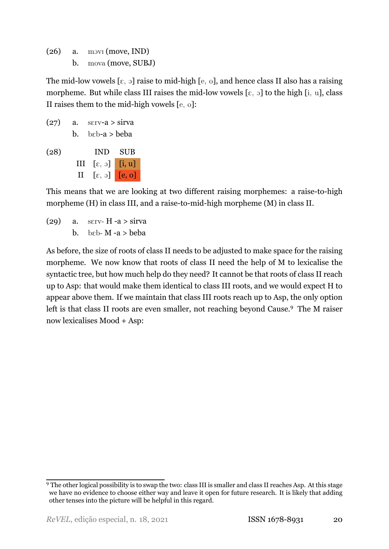$(26)$  a. movi (move, IND) b. mova (move, SUBJ)

The mid-low vowels  $[\epsilon, \epsilon]$  raise to mid-high  $[\epsilon, \epsilon]$ , and hence class II also has a raising morpheme. But while class III raises the mid-low vowels  $[\varepsilon, \rho]$  to the high  $[\iota, \nu]$ , class II raises them to the mid-high vowels [e, o]:

| (27) | a.           | $s$ <sub>e</sub> $-$ a > $s$ irva    |  |  |  |
|------|--------------|--------------------------------------|--|--|--|
|      |              | b. $beba > beba$                     |  |  |  |
| (28) |              | IND SUB                              |  |  |  |
|      |              | $III$ $[\epsilon, \rho]$ $[i, u]$    |  |  |  |
|      | $\mathbf{H}$ | $[\varepsilon, \rho]$ $[\rho, \rho]$ |  |  |  |

This means that we are looking at two different raising morphemes: a raise-to-high morpheme (H) in class III, and a raise-to-mid-high morpheme (M) in class II.

(29) a. serv- H -a > sirva b. b $\epsilon$ b- M -a > beba

As before, the size of roots of class II needs to be adjusted to make space for the raising morpheme. We now know that roots of class II need the help of M to lexicalise the syntactic tree, but how much help do they need? It cannot be that roots of class II reach up to Asp: that would make them identical to class III roots, and we would expect H to appear above them. If we maintain that class III roots reach up to Asp, the only option left is that class II roots are even smaller, not reaching beyond Cause.<sup>9</sup> The M raiser now lexicalises Mood + Asp:

<sup>&</sup>lt;sup>9</sup> The other logical possibility is to swap the two: class III is smaller and class II reaches Asp. At this stage we have no evidence to choose either way and leave it open for future research. It is likely that adding other tenses into the picture will be helpful in this regard.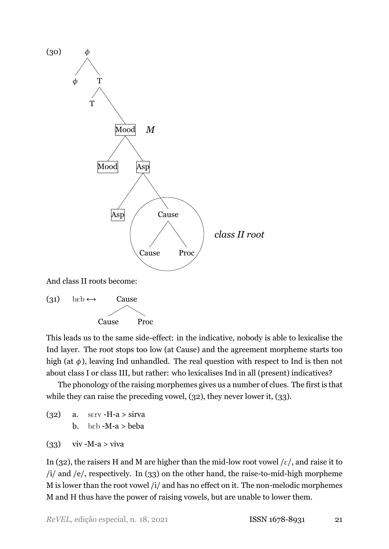

And class II roots become:



This leads us to the same side-effect: in the indicative, nobody is able to lexicalise the Ind layer. The root stops too low (at Cause) and the agreement morpheme starts too high (at  $\phi$ ), leaving Ind unhandled. The real question with respect to Ind is then not about class I or class III, but rather: who lexicalises Ind in all (present) indicatives?

The phonology of the raising morphemes gives us a number of clues. The first is that while they can raise the preceding vowel, [\(32\)](#page-12-0), they never lower it, [\(33\)](#page-12-1).

<span id="page-12-0"></span> $(32)$  a. serv -H-a > sirva b. b $\epsilon$ b -M-a > beba

<span id="page-12-1"></span>
$$
(33) \quad \text{viv } -M - a > \text{viva}
$$

In [\(32\),](#page-12-0) the raisers H and M are higher than the mid-low root vowel  $\frac{\varepsilon}{\varepsilon}$ , and raise it to /i/ and /e/, respectively. In [\(33\)](#page-12-1) on the other hand, the raise-to-mid-high morpheme M is lower than the root vowel /i/ and has no effect on it. The non-melodic morphemes M and H thus have the power of raising vowels, but are unable to lower them.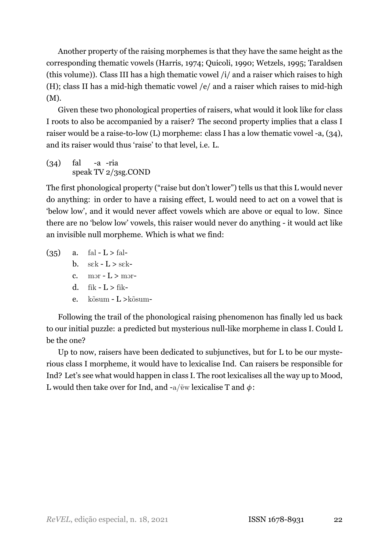Another property of the raising morphemes is that they have the same height as the corresponding thematic vowels (Harris, [1974](#page-26-6); Quicoli, [1990](#page-26-4); Wetzels, [1995;](#page-26-7) Taraldsen (this volume)). Class III has a high thematic vowel /i/ and a raiser which raises to high (H); class II has a mid-high thematic vowel /e/ and a raiser which raises to mid-high (M).

Given these two phonological properties of raisers, what would it look like for class I roots to also be accompanied by a raiser? The second property implies that a class I raiser would be a raise-to-low (L) morpheme: class I has a low thematic vowel -a, [\(34\)](#page-13-0), and its raiser would thus 'raise' to that level, i.e. L.

<span id="page-13-0"></span>(34) fal speak TV 2/3sg.COND -a -ria

The first phonological property ("raise but don't lower") tells us that this L would never do anything: in order to have a raising effect, L would need to act on a vowel that is 'below low', and it would never affect vowels which are above or equal to low. Since there are no 'below low' vowels, this raiser would never do anything - it would act like an invisible null morpheme. Which is what we find:

(35) a. fal -  $L >$  falb.  $sek - L > sek$ c. mor -  $L > m$ ord.  $fik - L > fik$ -

e. kõsum - L > kõsum -

Following the trail of the phonological raising phenomenon has finally led us back to our initial puzzle: a predicted but mysterious null-like morpheme in class I. Could L be the one?

Up to now, raisers have been dedicated to subjunctives, but for L to be our mysterious class I morpheme, it would have to lexicalise Ind. Can raisers be responsible for Ind? Let's see what would happen in class I. The root lexicalises all the way up to Mood, L would then take over for Ind, and  $-a/\tilde{v}$ w lexicalise T and  $\phi$ :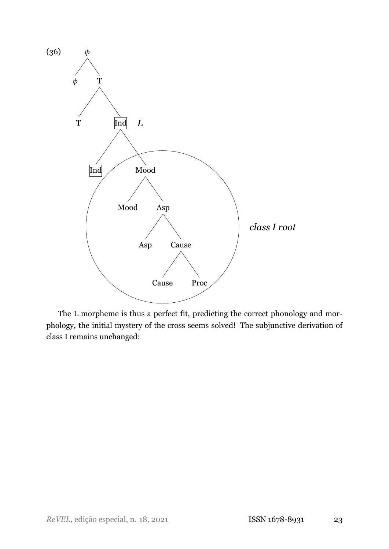

The L morpheme is thus a perfect fit, predicting the correct phonology and morphology, the initial mystery of the cross seems solved! The subjunctive derivation of class I remains unchanged: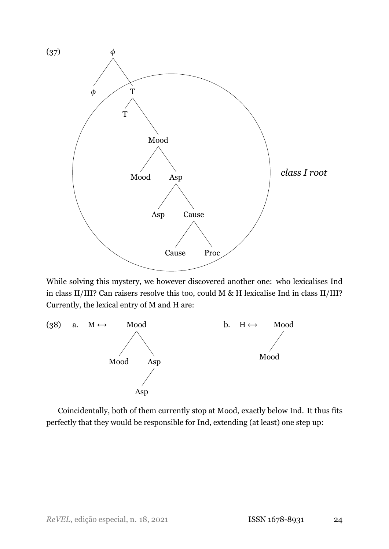

While solving this mystery, we however discovered another one: who lexicalises Ind in class II/III? Can raisers resolve this too, could M & H lexicalise Ind in class II/III? Currently, the lexical entry of M and H are:



Coincidentally, both of them currently stop at Mood, exactly below Ind. It thus fits perfectly that they would be responsible for Ind, extending (at least) one step up: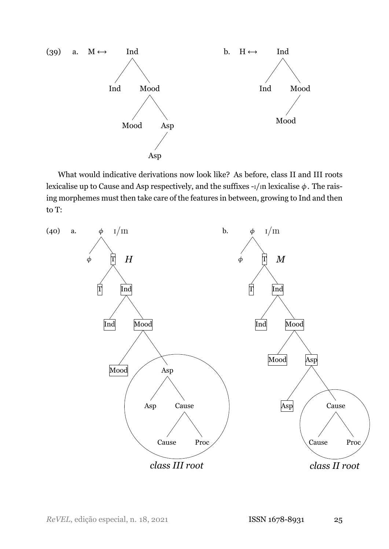

What would indicative derivations now look like? As before, class II and III roots lexicalise up to Cause and Asp respectively, and the suffixes  $-i$ / $n$  lexicalise  $\phi$ . The raising morphemes must then take care of the features in between, growing to Ind and then to T:

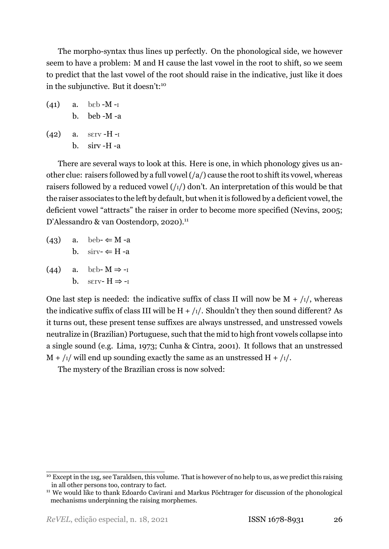The morpho-syntax thus lines up perfectly. On the phonological side, we however seem to have a problem: M and H cause the last vowel in the root to shift, so we seem to predict that the last vowel of the root should raise in the indicative, just like it does in the subjunctive. But it doesn't:<sup>10</sup>

| (41) | a. beb - $M$ -     |
|------|--------------------|
|      | b. beb - $M$ -a    |
| (42) | a. $\sec$ rv -H -1 |
|      |                    |

There are several ways to look at this. Here is one, in which phonology gives us another clue: raisers followed by a full vowel  $(\frac{a}{)$  cause the root to shift its vowel, whereas raisers followed by a reduced vowel  $\binom{1}{1}$  don't. An interpretation of this would be that the raiser associates to the left by default, but when it is followed by a deficient vowel, the deficient vowel "attracts" the raiser in order to become more specified (Nevins, [2005;](#page-26-8) D'Alessandro & van Oostendorp, [2020](#page-26-9)).<sup>11</sup>

|  | $(43)$ a. beb- $\Leftarrow$ M-a    |
|--|------------------------------------|
|  | b. $\text{sirv-} \Leftarrow H - a$ |
|  |                                    |

(44) a. b $\epsilon$ b-M $\Rightarrow$ -I b. serv-  $H \Rightarrow -I$ 

One last step is needed: the indicative suffix of class II will now be  $M + \frac{1}{l}$ , whereas the indicative suffix of class III will be  $H + / I/$ . Shouldn't they then sound different? As it turns out, these present tense suffixes are always unstressed, and unstressed vowels neutralize in (Brazilian) Portuguese, such that the mid to high front vowels collapse into a single sound (e.g. Lima, [1973;](#page-26-2) Cunha & Cintra, [2001](#page-26-3)). It follows that an unstressed  $M + /I$  will end up sounding exactly the same as an unstressed H +  $/I$ .

The mystery of the Brazilian cross is now solved:

<sup>&</sup>lt;sup>10</sup> Except in the 1sg, see Taraldsen, this volume. That is however of no help to us, as we predict this raising in all other persons too, contrary to fact.

<sup>&</sup>lt;sup>11</sup> We would like to thank Edoardo Cavirani and Markus Pöchtrager for discussion of the phonological mechanisms underpinning the raising morphemes.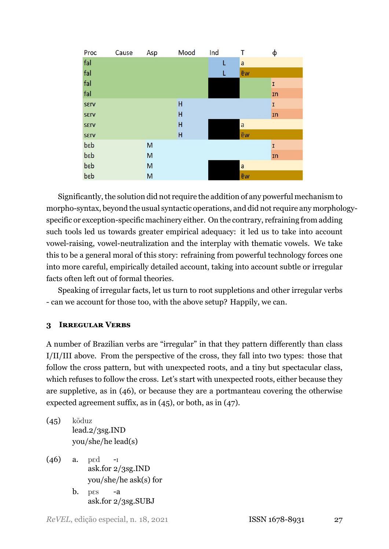| Proc        | Cause | Asp | Mood | Ind | T            | ф           |
|-------------|-------|-----|------|-----|--------------|-------------|
| fal         |       |     |      | L   | $\mathsf{a}$ |             |
| fal         |       |     |      | L   | ëw           |             |
| fal         |       |     |      |     |              | $\mathbf I$ |
| fal         |       |     |      |     |              | In          |
| <b>SETV</b> |       |     | н    |     |              | I           |
| <b>SETV</b> |       |     | н    |     |              | In          |
| <b>SETV</b> |       |     | H    |     | $\mathsf{a}$ |             |
| <b>SETV</b> |       |     | H    |     | <b>ĕw</b>    |             |
| dsd         |       | M   |      |     |              | $\mathbf I$ |
| dsd         |       | M   |      |     |              | In          |
| bab         |       | M   |      |     | a            |             |
| bab         |       | M   |      |     | ёw           |             |

Significantly, the solution did not require the addition of any powerful mechanism to morpho-syntax, beyond the usual syntactic operations, and did not require any morphologyspecific or exception-specific machinery either. On the contrary, refraining from adding such tools led us towards greater empirical adequacy: it led us to take into account vowel-raising, vowel-neutralization and the interplay with thematic vowels. We take this to be a general moral of this story: refraining from powerful technology forces one into more careful, empirically detailed account, taking into account subtle or irregular facts often left out of formal theories.

Speaking of irregular facts, let us turn to root suppletions and other irregular verbs - can we account for those too, with the above setup? Happily, we can.

## **3 IRREGULAR VERBS**

A number of Brazilian verbs are "irregular" in that they pattern differently than class I/II/III above. From the perspective of the cross, they fall into two types: those that follow the cross pattern, but with unexpected roots, and a tiny but spectacular class, which refuses to follow the cross. Let's start with unexpected roots, either because they are suppletive, as in [\(46\)](#page-18-0), or because they are a portmanteau covering the otherwise expected agreement suffix, as in [\(45\)](#page-18-1), or both, as in [\(47\)](#page-19-0).

- <span id="page-18-1"></span> $(45)$  kõduz lead.2/3sg.IND you/she/he lead(s)
- <span id="page-18-0"></span>(46) a. pEd ask.for 2/3sg.IND  $-I$ you/she/he ask(s) for
	- b. pes ask.for 2/3sg.SUBJ -a

*ReVEL*, edição especial, n. 18, 2021 **ISSN 1678-8931** 27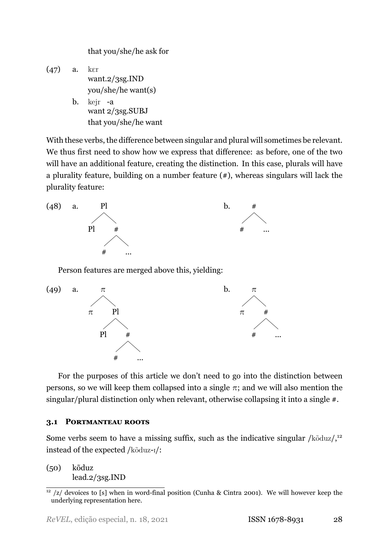that you/she/he ask for

- <span id="page-19-0"></span> $(47)$  a. ker want.2/3sg.IND you/she/he want(s)
	- b. kejr -a want 2/3sg.SUBJ that you/she/he want

With these verbs, the difference between singular and plural will sometimes be relevant. We thus first need to show how we express that difference: as before, one of the two will have an additional feature, creating the distinction. In this case, plurals will have a plurality feature, building on a number feature (#), whereas singulars will lack the plurality feature:



Person features are merged above this, yielding:



For the purposes of this article we don't need to go into the distinction between persons, so we will keep them collapsed into a single  $\pi$ ; and we will also mention the singular/plural distinction only when relevant, otherwise collapsing it into a single  $\#$ .

#### **3.1 PORTMANTEAU ROOTS**

Some verbs seem to have a missing suffix, such as the indicative singular  $/k\tilde{\text{o}}duz/12$ instead of the expected /koduz-I/:

(50) kõduz lead.2/3sg.IND

 $12$  /z/ devoices to [s] when in word-final position (Cunha & Cintra [2001\)](#page-26-3). We will however keep the underlying representation here.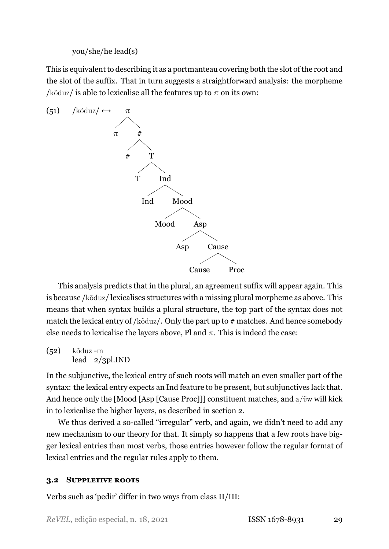you/she/he lead(s)

This is equivalent to describing it as a portmanteau covering both the slot of the root and the slot of the suffix. That in turn suggests a straightforward analysis: the morpheme /kõduz/ is able to lexicalise all the features up to  $\pi$  on its own:



This analysis predicts that in the plural, an agreement suffix will appear again. This is because /kõduz/ lexicalises structures with a missing plural morpheme as above. This means that when syntax builds a plural structure, the top part of the syntax does not match the lexical entry of /kõduz/. Only the part up to  $#$  matches. And hence somebody else needs to lexicalise the layers above, Pl and  $\pi$ . This is indeed the case:

(52) kõduz -m lead 2/3pl.IND

In the subjunctive, the lexical entry of such roots will match an even smaller part of the syntax: the lexical entry expects an Ind feature to be present, but subjunctives lack that. And hence only the [Mood [Asp [Cause Proc]]] constituent matches, and  $a/\tilde{v}$ w will kick in to lexicalise the higher layers, as described in section 2.

We thus derived a so-called "irregular" verb, and again, we didn't need to add any new mechanism to our theory for that. It simply so happens that a few roots have bigger lexical entries than most verbs, those entries however follow the regular format of lexical entries and the regular rules apply to them.

## **3.2 SUPPLETIVE ROOTS**

Verbs such as 'pedir' differ in two ways from class II/III: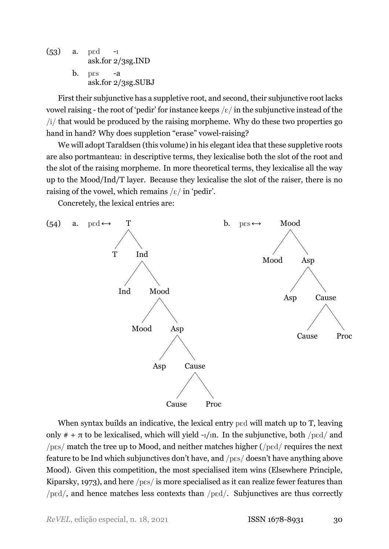(53) a. pEd ask.for 2/3sg.IND  $-I$  $\mathbf{b}$ . pes ask.for 2/3sg.SUBJ -a

First their subjunctive has a suppletive root, and second, their subjunctive root lacks vowel raising - the root of 'pedir' for instance keeps  $\frac{\varepsilon}{i}$  in the subjunctive instead of the /i/ that would be produced by the raising morpheme. Why do these two properties go hand in hand? Why does suppletion "erase" vowel-raising?

We will adopt Taraldsen (this volume) in his elegant idea that these suppletive roots are also portmanteau: in descriptive terms, they lexicalise both the slot of the root and the slot of the raising morpheme. In more theoretical terms, they lexicalise all the way up to the Mood/Ind/T layer. Because they lexicalise the slot of the raiser, there is no raising of the vowel, which remains  $/\varepsilon$  in 'pedir'.

Concretely, the lexical entries are:



When syntax builds an indicative, the lexical entry  $p \in \mathcal{A}$  will match up to  $T$ , leaving only  $\#\pi$  to be lexicalised, which will yield - $I/m$ . In the subjunctive, both /ped/ and  $/$ pes/ match the tree up to Mood, and neither matches higher ( $/$ ped/ requires the next feature to be Ind which subjunctives don't have, and  $/pes/$  doesn't have anything above Mood). Given this competition, the most specialised item wins (Elsewhere Principle, Kiparsky, [1973](#page-26-10)), and here  $/$ pes $/$  is more specialised as it can realize fewer features than  $/\text{ped}$ , and hence matches less contexts than  $/\text{ped}$ . Subjunctives are thus correctly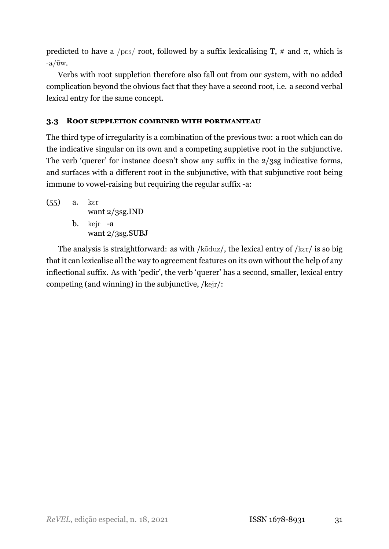predicted to have a /pes/ root, followed by a suffix lexicalising T, # and  $\pi$ , which is  $-a/\tilde{v}w$ .

Verbs with root suppletion therefore also fall out from our system, with no added complication beyond the obvious fact that they have a second root, i.e. a second verbal lexical entry for the same concept.

# **3.3 ROOT SUPPLETION COMBINED WITH PORTMANTEAU**

The third type of irregularity is a combination of the previous two: a root which can do the indicative singular on its own and a competing suppletive root in the subjunctive. The verb 'querer' for instance doesn't show any suffix in the 2/3sg indicative forms, and surfaces with a different root in the subjunctive, with that subjunctive root being immune to vowel-raising but requiring the regular suffix -a:

- (55) a. kEr want 2/3sg.IND b. kejr -a
	- want 2/3sg.SUBJ

The analysis is straightforward: as with /kõduz/, the lexical entry of /k $\epsilon$ r/ is so big that it can lexicalise all the way to agreement features on its own without the help of any inflectional suffix. As with 'pedir', the verb 'querer' has a second, smaller, lexical entry competing (and winning) in the subjunctive, /kejr/: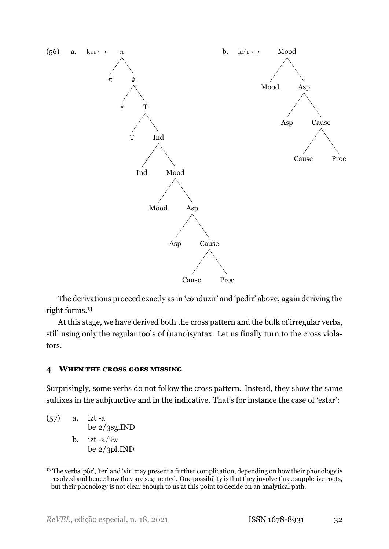

The derivations proceed exactly as in 'conduzir' and 'pedir' above, again deriving the right forms.<sup>13</sup>

At this stage, we have derived both the cross pattern and the bulk of irregular verbs, still using only the regular tools of (nano)syntax. Let us finally turn to the cross violators.

## **4 WHEN THE CROSS GOES MISSING**

Surprisingly, some verbs do not follow the cross pattern. Instead, they show the same suffixes in the subjunctive and in the indicative. That's for instance the case of 'estar':

 $(57)$  a. be 2/3sg.IND izt-a

> b.  $\rm ~izt$  -a/ $\rm \tilde{e}w$ be 2/3pl.IND

<sup>&</sup>lt;sup>13</sup> The verbs 'pôr', 'ter' and 'vir' may present a further complication, depending on how their phonology is resolved and hence how they are segmented. One possibility is that they involve three suppletive roots, but their phonology is not clear enough to us at this point to decide on an analytical path.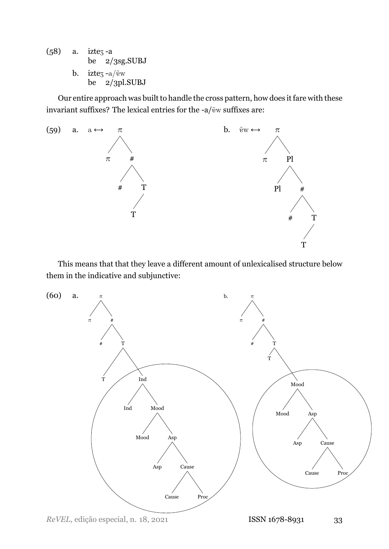$(58)$  a. be  $izte<sub>3</sub> - a$ 2/3sg.SUBJ b.  $\rm ~izte$ z $\rm ~-a/\tilde{e}$ w be 2/3pl.SUBJ

Our entire approach was built to handle the cross pattern, how does it fare with these invariant suffixes? The lexical entries for the - $a/\tilde{v}$ w suffixes are:



This means that that they leave a different amount of unlexicalised structure below them in the indicative and subjunctive:

<span id="page-24-1"></span><span id="page-24-0"></span>

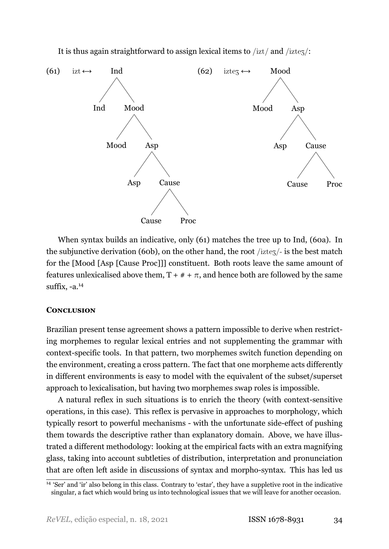<span id="page-25-0"></span>

It is thus again straightforward to assign lexical items to  $/izt/$  and  $/iztez/$ :

When syntax builds an indicative, only [\(61\)](#page-25-0) matches the tree up to Ind, [\(60a\)](#page-24-0). In the subjunctive derivation [\(60b\),](#page-24-1) on the other hand, the root  $/ize\frac{7}{12}$  is the best match for the [Mood [Asp [Cause Proc]]] constituent. Both roots leave the same amount of features unlexicalised above them,  $T + # + \pi$ , and hence both are followed by the same suffix,  $-a$ .<sup>14</sup>

#### **CONCLUSION**

Brazilian present tense agreement shows a pattern impossible to derive when restricting morphemes to regular lexical entries and not supplementing the grammar with context-specific tools. In that pattern, two morphemes switch function depending on the environment, creating a cross pattern. The fact that one morpheme acts differently in different environments is easy to model with the equivalent of the subset/superset approach to lexicalisation, but having two morphemes swap roles is impossible.

A natural reflex in such situations is to enrich the theory (with context-sensitive operations, in this case). This reflex is pervasive in approaches to morphology, which typically resort to powerful mechanisms - with the unfortunate side-effect of pushing them towards the descriptive rather than explanatory domain. Above, we have illustrated a different methodology: looking at the empirical facts with an extra magnifying glass, taking into account subtleties of distribution, interpretation and pronunciation that are often left aside in discussions of syntax and morpho-syntax. This has led us

<sup>14</sup> 'Ser' and 'ir' also belong in this class. Contrary to 'estar', they have a suppletive root in the indicative singular, a fact which would bring us into technological issues that we will leave for another occasion.